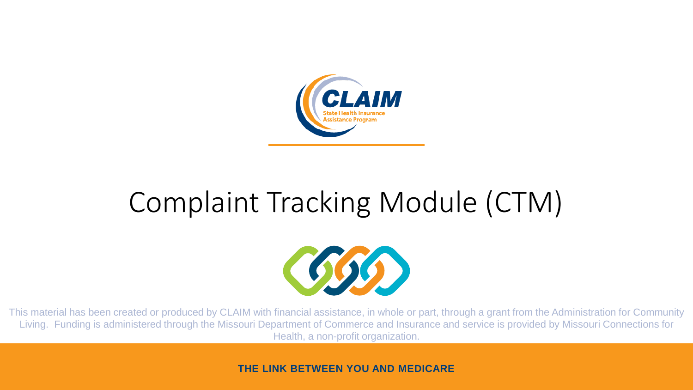

### Complaint Tracking Module (CTM)



This material has been created or produced by CLAIM with financial assistance, in whole or part, through a grant from the Administration for Community Living. Funding is administered through the Missouri Department of Commerce and Insurance and service is provided by Missouri Connections for Health, a non-profit organization.

**THE LINK BETWEEN YOU AND MEDICARE**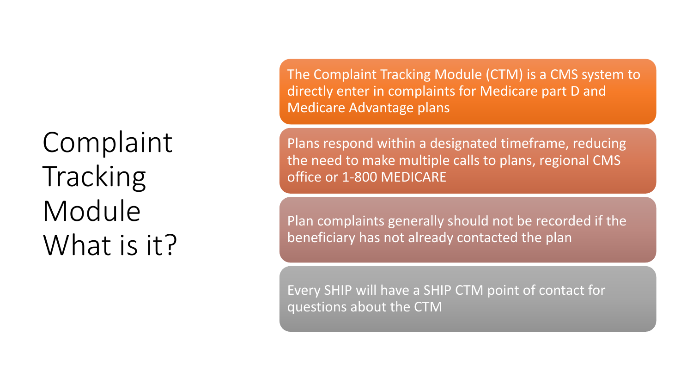Complaint Tracking Module What is it? The Complaint Tracking Module (CTM) is a CMS system to directly enter in complaints for Medicare part D and Medicare Advantage plans

Plans respond within a designated timeframe, reducing the need to make multiple calls to plans, regional CMS office or 1-800 MEDICARE

Plan complaints generally should not be recorded if the beneficiary has not already contacted the plan

Every SHIP will have a SHIP CTM point of contact for questions about the CTM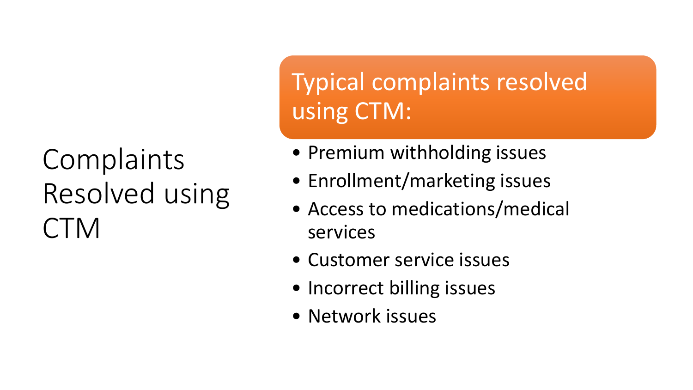## **Complaints** Resolved using CTM

Typical complaints resolved using CTM:

- Premium withholding issues
- Enrollment/marketing issues
- Access to medications/medical services
- Customer service issues
- Incorrect billing issues
- Network issues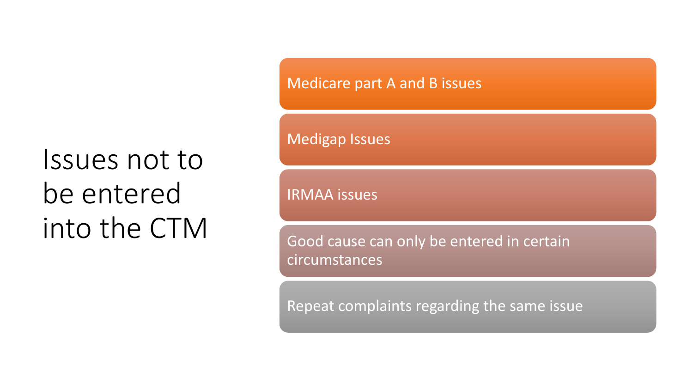## Issues not to be entered into the CTM

Medicare part A and B issues

Medigap Issues

IRMAA issues

Good cause can only be entered in certain circumstances

Repeat complaints regarding the same issue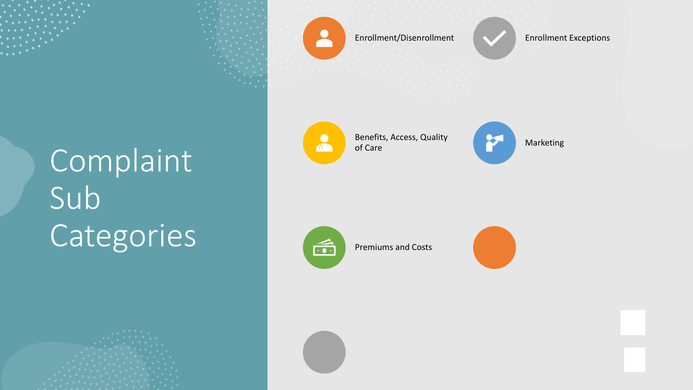# Complaint Sub Categories





Enrollment/Disenrollment Enrollment Exceptions

 $\bigodot$ 0

Benefits, Access, Quality

Marketing

 $\widehat{\cdots}$ 

Premiums and Costs

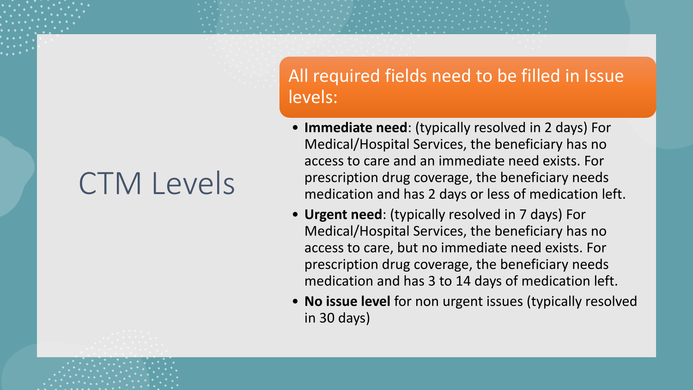# CTM Levels

#### All required fields need to be filled in Issue levels:

- **Immediate need**: (typically resolved in 2 days) For Medical/Hospital Services, the beneficiary has no access to care and an immediate need exists. For prescription drug coverage, the beneficiary needs medication and has 2 days or less of medication left.
- **Urgent need**: (typically resolved in 7 days) For Medical/Hospital Services, the beneficiary has no access to care, but no immediate need exists. For prescription drug coverage, the beneficiary needs medication and has 3 to 14 days of medication left.
- **No issue level** for non urgent issues (typically resolved in 30 days)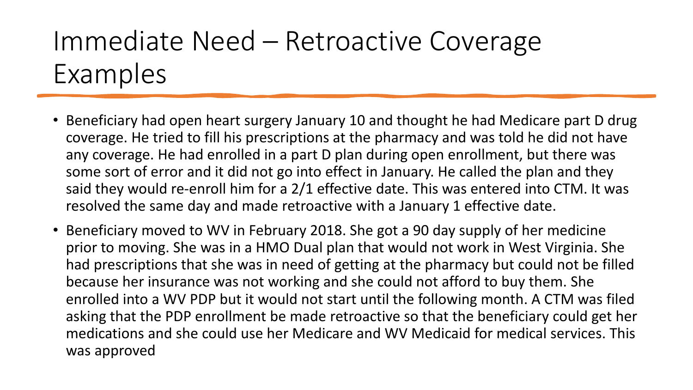### Immediate Need – Retroactive Coverage Examples

- Beneficiary had open heart surgery January 10 and thought he had Medicare part D drug coverage. He tried to fill his prescriptions at the pharmacy and was told he did not have any coverage. He had enrolled in a part D plan during open enrollment, but there was some sort of error and it did not go into effect in January. He called the plan and they said they would re-enroll him for a 2/1 effective date. This was entered into CTM. It was resolved the same day and made retroactive with a January 1 effective date.
- Beneficiary moved to WV in February 2018. She got a 90 day supply of her medicine prior to moving. She was in a HMO Dual plan that would not work in West Virginia. She had prescriptions that she was in need of getting at the pharmacy but could not be filled because her insurance was not working and she could not afford to buy them. She enrolled into a WV PDP but it would not start until the following month. A CTM was filed asking that the PDP enrollment be made retroactive so that the beneficiary could get her medications and she could use her Medicare and WV Medicaid for medical services. This was approved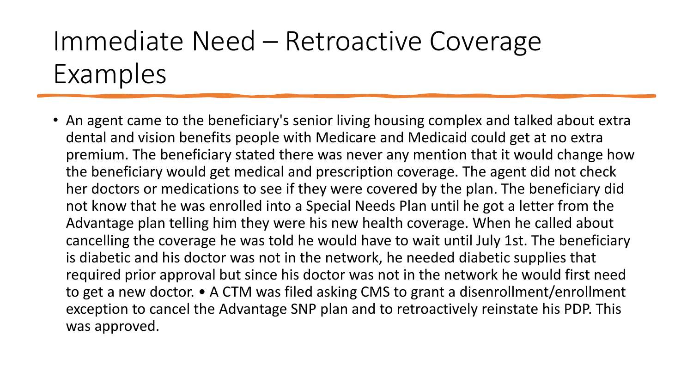### Immediate Need – Retroactive Coverage Examples

• An agent came to the beneficiary's senior living housing complex and talked about extra dental and vision benefits people with Medicare and Medicaid could get at no extra premium. The beneficiary stated there was never any mention that it would change how the beneficiary would get medical and prescription coverage. The agent did not check her doctors or medications to see if they were covered by the plan. The beneficiary did not know that he was enrolled into a Special Needs Plan until he got a letter from the Advantage plan telling him they were his new health coverage. When he called about cancelling the coverage he was told he would have to wait until July 1st. The beneficiary is diabetic and his doctor was not in the network, he needed diabetic supplies that required prior approval but since his doctor was not in the network he would first need to get a new doctor. • A CTM was filed asking CMS to grant a disenrollment/enrollment exception to cancel the Advantage SNP plan and to retroactively reinstate his PDP. This was approved.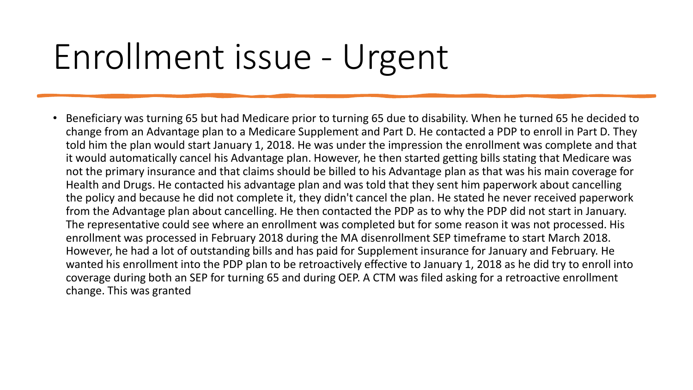# Enrollment issue - Urgent

• Beneficiary was turning 65 but had Medicare prior to turning 65 due to disability. When he turned 65 he decided to change from an Advantage plan to a Medicare Supplement and Part D. He contacted a PDP to enroll in Part D. They told him the plan would start January 1, 2018. He was under the impression the enrollment was complete and that it would automatically cancel his Advantage plan. However, he then started getting bills stating that Medicare was not the primary insurance and that claims should be billed to his Advantage plan as that was his main coverage for Health and Drugs. He contacted his advantage plan and was told that they sent him paperwork about cancelling the policy and because he did not complete it, they didn't cancel the plan. He stated he never received paperwork from the Advantage plan about cancelling. He then contacted the PDP as to why the PDP did not start in January. The representative could see where an enrollment was completed but for some reason it was not processed. His enrollment was processed in February 2018 during the MA disenrollment SEP timeframe to start March 2018. However, he had a lot of outstanding bills and has paid for Supplement insurance for January and February. He wanted his enrollment into the PDP plan to be retroactively effective to January 1, 2018 as he did try to enroll into coverage during both an SEP for turning 65 and during OEP. A CTM was filed asking for a retroactive enrollment change. This was granted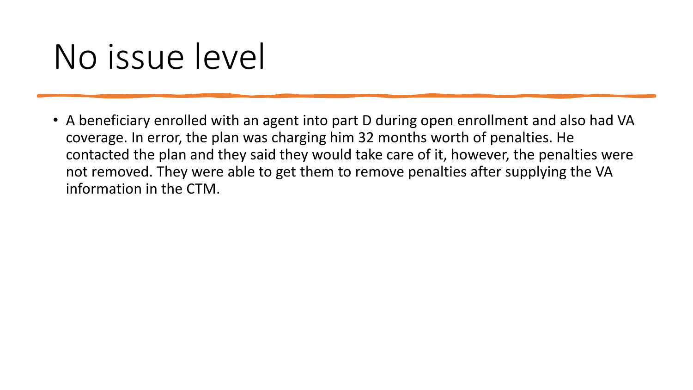# No issue level

• A beneficiary enrolled with an agent into part D during open enrollment and also had VA coverage. In error, the plan was charging him 32 months worth of penalties. He contacted the plan and they said they would take care of it, however, the penalties were not removed. They were able to get them to remove penalties after supplying the VA information in the CTM.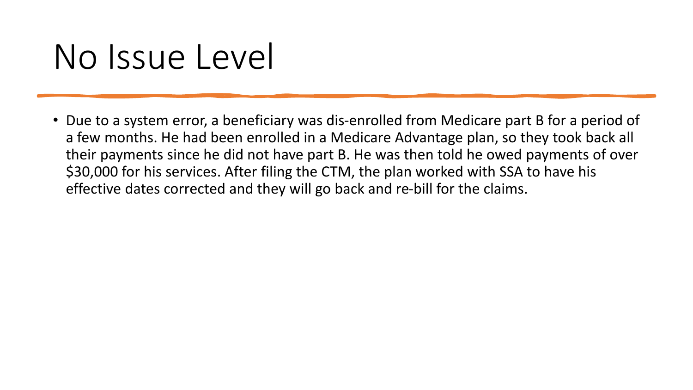# No Issue Level

• Due to a system error, a beneficiary was dis-enrolled from Medicare part B for a period of a few months. He had been enrolled in a Medicare Advantage plan, so they took back all their payments since he did not have part B. He was then told he owed payments of over \$30,000 for his services. After filing the CTM, the plan worked with SSA to have his effective dates corrected and they will go back and re-bill for the claims.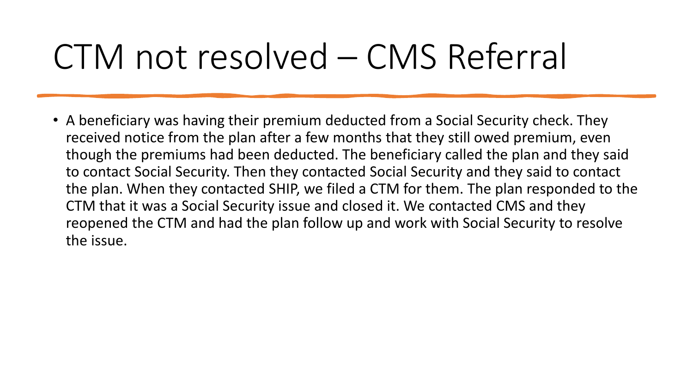# CTM not resolved – CMS Referral

• A beneficiary was having their premium deducted from a Social Security check. They received notice from the plan after a few months that they still owed premium, even though the premiums had been deducted. The beneficiary called the plan and they said to contact Social Security. Then they contacted Social Security and they said to contact the plan. When they contacted SHIP, we filed a CTM for them. The plan responded to the CTM that it was a Social Security issue and closed it. We contacted CMS and they reopened the CTM and had the plan follow up and work with Social Security to resolve the issue.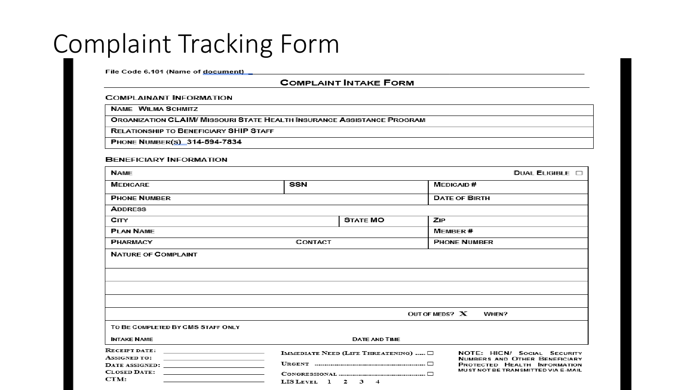#### Complaint Tracking Form

File Code 6.101 (Name of document)

#### **COMPLAINT INTAKE FORM**

#### **COMPLAINANT INFORMATION**

**NAME WILMA SCHMITZ** 

**ORGANIZATION CLAIM/ MISSOURI STATE HEALTH INSURANCE ASSISTANCE PROGRAM** 

**RELATIONSHIP TO BENEFICIARY SHIP STAFF** 

PHONE NUMBER(S) 314-594-7834

#### **BENEFICIARY INFORMATION**

| <b>NAME</b>                                                                                                                                                                                                                                                                                                                            |                      |                                                                                                                                                                                                            |                | DUAL ELIGIBLE $\square$ |  |
|----------------------------------------------------------------------------------------------------------------------------------------------------------------------------------------------------------------------------------------------------------------------------------------------------------------------------------------|----------------------|------------------------------------------------------------------------------------------------------------------------------------------------------------------------------------------------------------|----------------|-------------------------|--|
| <b>MEDICARE</b>                                                                                                                                                                                                                                                                                                                        | SSN                  |                                                                                                                                                                                                            |                | <b>MEDICAID#</b>        |  |
| <b>PHONE NUMBER</b>                                                                                                                                                                                                                                                                                                                    |                      |                                                                                                                                                                                                            |                | <b>DATE OF BIRTH</b>    |  |
| <b>ADDRESS</b>                                                                                                                                                                                                                                                                                                                         |                      |                                                                                                                                                                                                            |                |                         |  |
| <b>CITY</b>                                                                                                                                                                                                                                                                                                                            |                      | <b>STATE MO</b>                                                                                                                                                                                            | <b>ZIP</b>     |                         |  |
| <b>PLAN NAME</b>                                                                                                                                                                                                                                                                                                                       |                      |                                                                                                                                                                                                            |                | <b>MEMBER#</b>          |  |
| <b>PHARMACY</b>                                                                                                                                                                                                                                                                                                                        | <b>CONTACT</b>       |                                                                                                                                                                                                            |                | <b>PHONE NUMBER</b>     |  |
|                                                                                                                                                                                                                                                                                                                                        |                      |                                                                                                                                                                                                            | OUT OF MEDS? X | WHEN?                   |  |
| TO BE COMPLETED BY CMS STAFF ONLY                                                                                                                                                                                                                                                                                                      |                      |                                                                                                                                                                                                            |                |                         |  |
| <b>INTAKE NAME</b>                                                                                                                                                                                                                                                                                                                     | <b>DATE AND TIME</b> |                                                                                                                                                                                                            |                |                         |  |
| <b>RECEIPT DATE:</b><br>the control of the control of the control of the control of the control of<br><b>ASSIGNED TO:</b><br>the control of the control of the control of the control of the control of<br>DATE ASSIGNED:<br>the control of the control of the control of the control of the control of<br><b>CLOSED DATE:</b><br>CTM: |                      | IMMEDIATE NEED (LIFE THREATENING) $\Box$<br>NOTE: HICN/ SOCIAL SECURITY<br><b>NUMBERS AND OTHER BENEFICIARY</b><br>PROTECTED HEALTH INFORMATION<br>MUST NOT BE TRANSMITTED VIA E-MAIL<br>LIS LEVEL 1 2 3 4 |                |                         |  |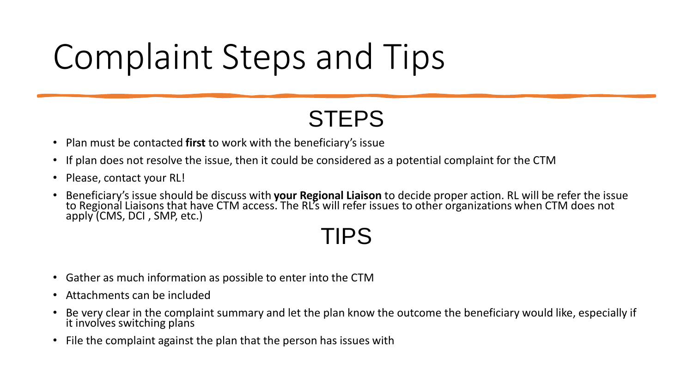# Complaint Steps and Tips

#### **STEPS**

- Plan must be contacted **first** to work with the beneficiary's issue
- If plan does not resolve the issue, then it could be considered as a potential complaint for the CTM
- Please, contact your RL!
- Beneficiary's issue should be discuss with **your Regional Liaison** to decide proper action. RL will be refer the issue to Regional Liaisons that have CTM access. The RL's will refer issues to other organizations when CTM does not apply (CMS, DCI , SMP, etc.)

#### TIPS

- Gather as much information as possible to enter into the CTM
- Attachments can be included
- Be very clear in the complaint summary and let the plan know the outcome the beneficiary would like, especially if it involves switching plans
- File the complaint against the plan that the person has issues with